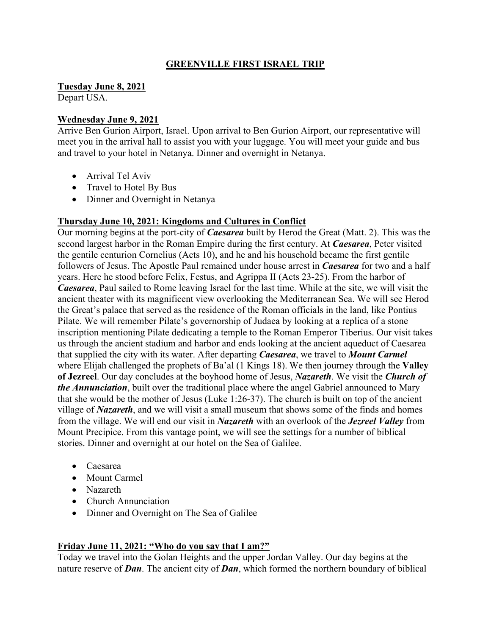### **GREENVILLE FIRST ISRAEL TRIP**

**Tuesday June 8, 2021**

Depart USA.

#### **Wednesday June 9, 2021**

Arrive Ben Gurion Airport, Israel. Upon arrival to Ben Gurion Airport, our representative will meet you in the arrival hall to assist you with your luggage. You will meet your guide and bus and travel to your hotel in Netanya. Dinner and overnight in Netanya.

- Arrival Tel Aviv
- Travel to Hotel By Bus
- Dinner and Overnight in Netanya

#### **Thursday June 10, 2021: Kingdoms and Cultures in Conflict**

Our morning begins at the port-city of *Caesarea* built by Herod the Great (Matt. 2). This was the second largest harbor in the Roman Empire during the first century. At *Caesarea*, Peter visited the gentile centurion Cornelius (Acts 10), and he and his household became the first gentile followers of Jesus. The Apostle Paul remained under house arrest in *Caesarea* for two and a half years. Here he stood before Felix, Festus, and Agrippa II (Acts 23-25). From the harbor of *Caesarea*, Paul sailed to Rome leaving Israel for the last time. While at the site, we will visit the ancient theater with its magnificent view overlooking the Mediterranean Sea. We will see Herod the Great's palace that served as the residence of the Roman officials in the land, like Pontius Pilate. We will remember Pilate's governorship of Judaea by looking at a replica of a stone inscription mentioning Pilate dedicating a temple to the Roman Emperor Tiberius. Our visit takes us through the ancient stadium and harbor and ends looking at the ancient aqueduct of Caesarea that supplied the city with its water. After departing *Caesarea*, we travel to *Mount Carmel* where Elijah challenged the prophets of Ba'al (1 Kings 18). We then journey through the **Valley of Jezreel**. Our day concludes at the boyhood home of Jesus, *Nazareth*. We visit the *Church of the Annunciation*, built over the traditional place where the angel Gabriel announced to Mary that she would be the mother of Jesus (Luke 1:26-37). The church is built on top of the ancient village of *Nazareth*, and we will visit a small museum that shows some of the finds and homes from the village. We will end our visit in *Nazareth* with an overlook of the *Jezreel Valley* from Mount Precipice. From this vantage point, we will see the settings for a number of biblical stories. Dinner and overnight at our hotel on the Sea of Galilee.

- Caesarea
- Mount Carmel
- Nazareth
- Church Annunciation
- Dinner and Overnight on The Sea of Galilee

### **Friday June 11, 2021: "Who do you say that I am?"**

Today we travel into the Golan Heights and the upper Jordan Valley. Our day begins at the nature reserve of *Dan*. The ancient city of *Dan*, which formed the northern boundary of biblical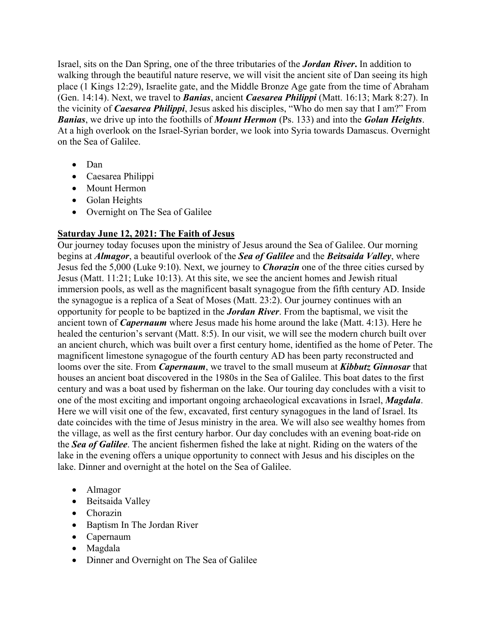Israel, sits on the Dan Spring, one of the three tributaries of the *Jordan River***.** In addition to walking through the beautiful nature reserve, we will visit the ancient site of Dan seeing its high place (1 Kings 12:29), Israelite gate, and the Middle Bronze Age gate from the time of Abraham (Gen. 14:14). Next, we travel to *Banias*, ancient *Caesarea Philippi* (Matt. 16:13; Mark 8:27). In the vicinity of *Caesarea Philippi*, Jesus asked his disciples, "Who do men say that I am?" From *Banias*, we drive up into the foothills of *Mount Hermon* (Ps. 133) and into the *Golan Heights*. At a high overlook on the Israel-Syrian border, we look into Syria towards Damascus. Overnight on the Sea of Galilee.

- Dan
- Caesarea Philippi
- Mount Hermon
- Golan Heights
- Overnight on The Sea of Galilee

# **Saturday June 12, 2021: The Faith of Jesus**

Our journey today focuses upon the ministry of Jesus around the Sea of Galilee. Our morning begins at *Almagor*, a beautiful overlook of the *Sea of Galilee* and the *Beitsaida Valley*, where Jesus fed the 5,000 (Luke 9:10). Next, we journey to *Chorazin* one of the three cities cursed by Jesus (Matt. 11:21; Luke 10:13). At this site, we see the ancient homes and Jewish ritual immersion pools, as well as the magnificent basalt synagogue from the fifth century AD. Inside the synagogue is a replica of a Seat of Moses (Matt. 23:2). Our journey continues with an opportunity for people to be baptized in the *Jordan River*. From the baptismal, we visit the ancient town of *Capernaum* where Jesus made his home around the lake (Matt. 4:13). Here he healed the centurion's servant (Matt. 8:5). In our visit, we will see the modern church built over an ancient church, which was built over a first century home, identified as the home of Peter. The magnificent limestone synagogue of the fourth century AD has been party reconstructed and looms over the site. From *Capernaum*, we travel to the small museum at *Kibbutz Ginnosar* that houses an ancient boat discovered in the 1980s in the Sea of Galilee. This boat dates to the first century and was a boat used by fisherman on the lake. Our touring day concludes with a visit to one of the most exciting and important ongoing archaeological excavations in Israel, *Magdala*. Here we will visit one of the few, excavated, first century synagogues in the land of Israel. Its date coincides with the time of Jesus ministry in the area. We will also see wealthy homes from the village, as well as the first century harbor. Our day concludes with an evening boat-ride on the *Sea of Galilee*. The ancient fishermen fished the lake at night. Riding on the waters of the lake in the evening offers a unique opportunity to connect with Jesus and his disciples on the lake. Dinner and overnight at the hotel on the Sea of Galilee.

- Almagor
- Beitsaida Valley
- Chorazin
- Baptism In The Jordan River
- Capernaum
- Magdala
- Dinner and Overnight on The Sea of Galilee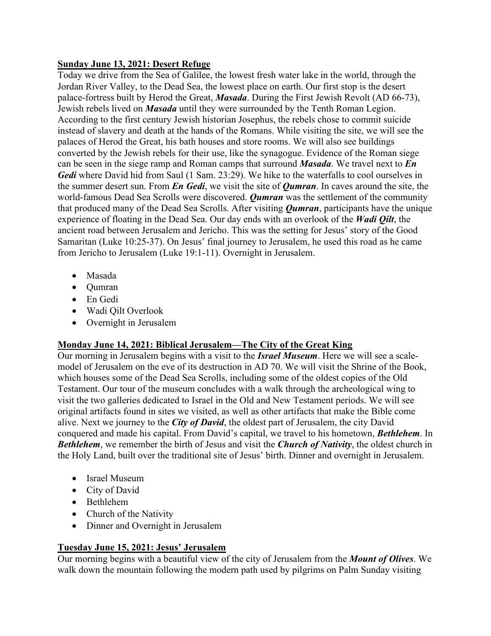#### **Sunday June 13, 2021: Desert Refuge**

Today we drive from the Sea of Galilee, the lowest fresh water lake in the world, through the Jordan River Valley, to the Dead Sea, the lowest place on earth. Our first stop is the desert palace-fortress built by Herod the Great, *Masada*. During the First Jewish Revolt (AD 66-73), Jewish rebels lived on *Masada* until they were surrounded by the Tenth Roman Legion. According to the first century Jewish historian Josephus, the rebels chose to commit suicide instead of slavery and death at the hands of the Romans. While visiting the site, we will see the palaces of Herod the Great, his bath houses and store rooms. We will also see buildings converted by the Jewish rebels for their use, like the synagogue. Evidence of the Roman siege can be seen in the siege ramp and Roman camps that surround *Masada*. We travel next to *En Gedi* where David hid from Saul (1 Sam. 23:29). We hike to the waterfalls to cool ourselves in the summer desert sun. From *En Gedi*, we visit the site of *Qumran*. In caves around the site, the world-famous Dead Sea Scrolls were discovered. *Qumran* was the settlement of the community that produced many of the Dead Sea Scrolls. After visiting *Qumran*, participants have the unique experience of floating in the Dead Sea. Our day ends with an overlook of the *Wadi Qilt*, the ancient road between Jerusalem and Jericho. This was the setting for Jesus' story of the Good Samaritan (Luke 10:25-37). On Jesus' final journey to Jerusalem, he used this road as he came from Jericho to Jerusalem (Luke 19:1-11). Overnight in Jerusalem.

- Masada
- Qumran
- En Gedi
- Wadi Qilt Overlook
- Overnight in Jerusalem

# **Monday June 14, 2021: Biblical Jerusalem—The City of the Great King**

Our morning in Jerusalem begins with a visit to the *Israel Museum*. Here we will see a scalemodel of Jerusalem on the eve of its destruction in AD 70. We will visit the Shrine of the Book, which houses some of the Dead Sea Scrolls, including some of the oldest copies of the Old Testament. Our tour of the museum concludes with a walk through the archeological wing to visit the two galleries dedicated to Israel in the Old and New Testament periods. We will see original artifacts found in sites we visited, as well as other artifacts that make the Bible come alive. Next we journey to the *City of David*, the oldest part of Jerusalem, the city David conquered and made his capital. From David's capital, we travel to his hometown, *Bethlehem*. In *Bethlehem*, we remember the birth of Jesus and visit the *Church of Nativity*, the oldest church in the Holy Land, built over the traditional site of Jesus' birth. Dinner and overnight in Jerusalem.

- Israel Museum
- City of David
- Bethlehem
- Church of the Nativity
- Dinner and Overnight in Jerusalem

# **Tuesday June 15, 2021: Jesus' Jerusalem**

Our morning begins with a beautiful view of the city of Jerusalem from the *Mount of Olives*. We walk down the mountain following the modern path used by pilgrims on Palm Sunday visiting